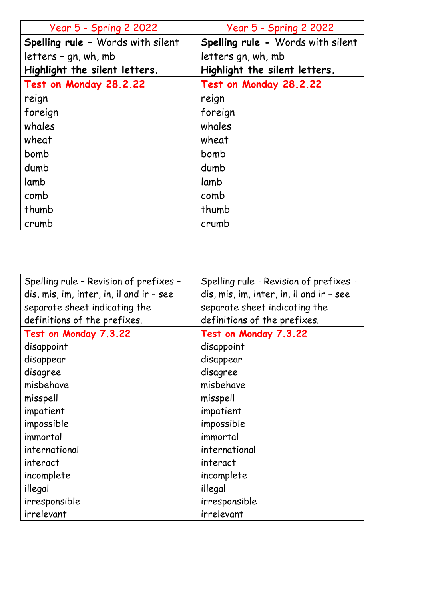| <b>Year 5 - Spring 2 2022</b>     | <b>Year 5 - Spring 2 2022</b>     |
|-----------------------------------|-----------------------------------|
| Spelling rule - Words with silent | Spelling rule - Words with silent |
| letters - gn, wh, mb              | letters gn, wh, mb                |
| Highlight the silent letters.     | Highlight the silent letters.     |
| Test on Monday 28.2.22            | Test on Monday 28.2.22            |
| reign                             | reign                             |
| foreign                           | foreign                           |
| whales                            | whales                            |
| wheat                             | wheat                             |
| bomb                              | bomb                              |
| dumb                              | dumb                              |
| lamb                              | lamb                              |
| comb                              | comb                              |
| thumb                             | thumb                             |
| crumb                             | crumb                             |

| Spelling rule - Revision of prefixes -   | Spelling rule - Revision of prefixes -   |
|------------------------------------------|------------------------------------------|
| dis, mis, im, inter, in, il and ir - see | dis, mis, im, inter, in, il and ir - see |
| separate sheet indicating the            | separate sheet indicating the            |
| definitions of the prefixes.             | definitions of the prefixes.             |
| Test on Monday 7.3.22                    | Test on Monday 7.3.22                    |
| disappoint                               | disappoint                               |
| disappear                                | disappear                                |
| disagree                                 | disagree                                 |
| misbehave                                | misbehave                                |
| misspell                                 | misspell                                 |
| impatient                                | impatient                                |
| impossible                               | impossible                               |
| immortal                                 | immortal                                 |
| international                            | international                            |
| interact                                 | interact                                 |
| incomplete                               | incomplete                               |
| illegal                                  | illegal                                  |
| irresponsible                            | irresponsible                            |
| irrelevant                               | irrelevant                               |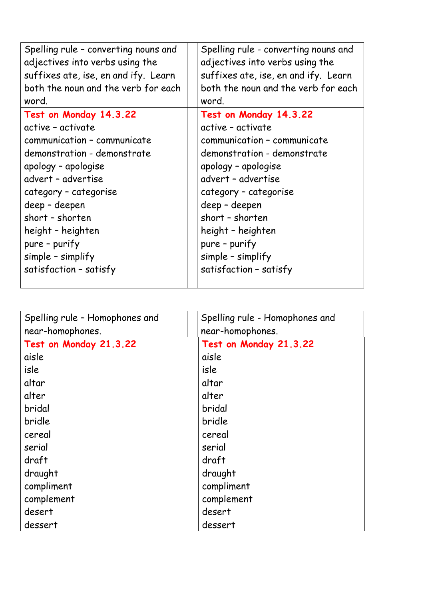| Spelling rule - converting nouns and<br>adjectives into verbs using the<br>suffixes ate, ise, en and ify. Learn<br>both the noun and the verb for each<br>word. | Spelling rule - converting nouns and<br>adjectives into verbs using the<br>suffixes ate, ise, en and ify. Learn<br>both the noun and the verb for each<br>word. |
|-----------------------------------------------------------------------------------------------------------------------------------------------------------------|-----------------------------------------------------------------------------------------------------------------------------------------------------------------|
| Test on Monday 14.3.22                                                                                                                                          | Test on Monday 14.3.22                                                                                                                                          |
| active - activate                                                                                                                                               | active - activate                                                                                                                                               |
| communication - communicate                                                                                                                                     | communication - communicate                                                                                                                                     |
| demonstration - demonstrate                                                                                                                                     | demonstration - demonstrate                                                                                                                                     |
| apology - apologise                                                                                                                                             | apology - apologise                                                                                                                                             |
| advert - advertise                                                                                                                                              | advert - advertise                                                                                                                                              |
| category - categorise                                                                                                                                           | category - categorise                                                                                                                                           |
| deep - deepen                                                                                                                                                   | deep - deepen                                                                                                                                                   |
| short - shorten                                                                                                                                                 | short - shorten                                                                                                                                                 |
| height - heighten                                                                                                                                               | height - heighten                                                                                                                                               |
| pure - purify                                                                                                                                                   | pure - purify                                                                                                                                                   |
| simple - simplify                                                                                                                                               | $simple$ - simplify                                                                                                                                             |
| satisfaction - satisfy                                                                                                                                          | satisfaction - satisfy                                                                                                                                          |

| Spelling rule - Homophones and | Spelling rule - Homophones and |
|--------------------------------|--------------------------------|
| near-homophones.               | near-homophones.               |
| Test on Monday 21.3.22         | Test on Monday 21.3.22         |
| aisle                          | aisle                          |
| isle                           | isle                           |
| altar                          | altar                          |
| alter                          | alter                          |
| bridal                         | bridal                         |
| bridle                         | bridle                         |
| cereal                         | cereal                         |
| serial                         | serial                         |
| draft                          | draft                          |
| draught                        | draught                        |
| compliment                     | compliment                     |
| complement                     | complement                     |
| desert                         | desert                         |
| dessert                        | dessert                        |